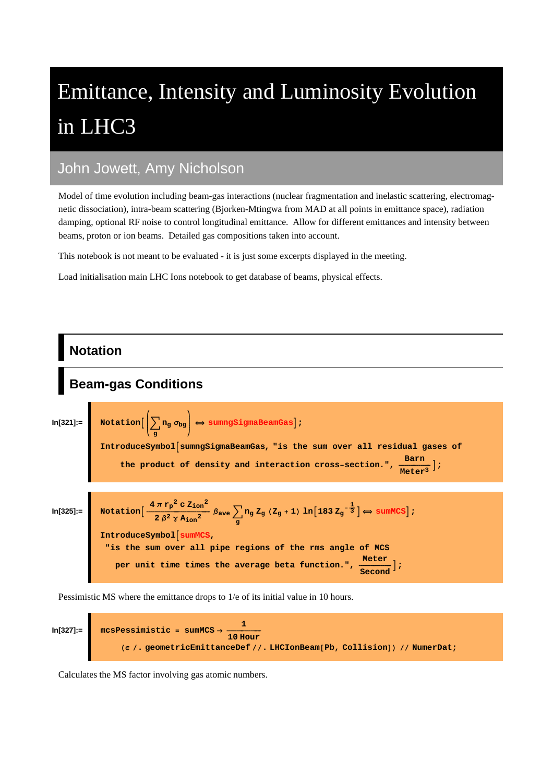# Emittance, Intensity and Luminosity Evolution in LHC3

### John Jowett, Amy Nicholson

Model of time evolution including beam-gas interactions (nuclear fragmentation and inelastic scattering, electromagnetic dissociation), intra-beam scattering (Bjorken-Mtingwa from MAD at all points in emittance space), radiation damping, optional RF noise to control longitudinal emittance. Allow for different emittances and intensity between beams, proton or ion beams. Detailed gas compositions taken into account.

This notebook is not meant to be evaluated - it is just some excerpts displayed in the meeting.

Load initialisation main LHC Ions notebook to get database of beams, physical effects.



Pessimistic MS where the emittance drops to 1/e of its initial value in 10 hours.

In[327]:  
\n
$$
In[327]:=\n\begin{bmatrix}\n\text{mcs} \text{Pessimistic} = \text{sumMCS} \rightarrow \frac{1}{10 \text{ Hour}} \\
\text{(e/, geometricEmittanceDef // . LHCIonBeam[Pb, Collision]) // NumberDet}\n\end{bmatrix}
$$

Calculates the MS factor involving gas atomic numbers.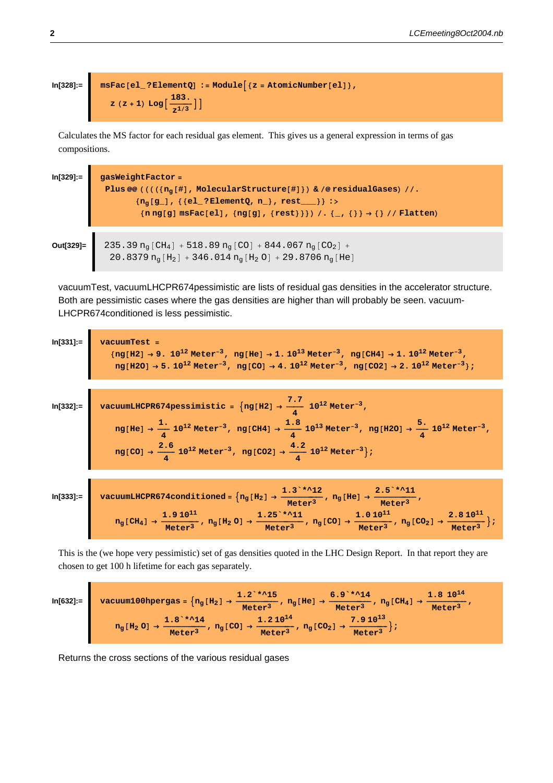$$
\ln[328] = \text{msFac}[\text{el}^2:\text{ElementQ}] := \text{Module}[\{z = \text{AtomicNumber}[\text{el}]\},
$$
\n
$$
z(z + 1) \text{Log}[\frac{183}{z^{1/3}}]]
$$

Calculates the MS factor for each residual gas element. This gives us a general expression in terms of gas compositions.

```
ln[329]:=
             gasWeightFactor =
              Plus @@((((\ln_q[\ddagger], MolecularStructure[#]}) & /@residualGases) //.
                      {n_q[g_.], {{el_?ElementQ, n_}, rest___}} :>
                        \{n \, ng[g] \, msFac[e1], \, \{ng[g], \, \{rest\} \}) / . \, \{-, \, \{\}\} \rightarrow \{\} / / Flatten)
```

```
235.39 n_g [CH<sub>4</sub>] + 518.89 n_g [CO] + 844.067 n_g [CO<sub>2</sub>] +
Out[329]=
               20.8379 n_g[H_2] + 346.014 n_g[H_2O] + 29.8706 n_g[He]
```
vacuumTest, vacuumLHCPR674pessimistic are lists of residual gas densities in the accelerator structure. Both are pessimistic cases where the gas densities are higher than will probably be seen. vacuum-LHCPR674conditioned is less pessimistic.



This is the (we hope very pessimistic) set of gas densities quoted in the LHC Design Report. In that report they are chosen to get 100 h lifetime for each gas separately.

| $\ln[632] := \left[ \arctan 100 \text{hpergas} = \left\{ n_g \left[ H_2 \right] \rightarrow \frac{1.2 \cdot *15}{\text{Meter}^3}, n_g \left[ \text{He} \right] \rightarrow \frac{6.9 \cdot *14}{\text{Meter}^3}, n_g \left[ \text{CH}_4 \right] \rightarrow \right. \right]$ |              |              | $1.8 \; 10^{14}$ |
|------------------------------------------------------------------------------------------------------------------------------------------------------------------------------------------------------------------------------------------------------------------------------|--------------|--------------|------------------|
| $1.8$ * $1.4$<br>$n_g[H_2\ 0] \rightarrow \frac{1}{\text{ meter}^3}$ , $n_g[CO] \rightarrow \frac{1}{\text{meter}^3}$ , $n_g[CO_2] \rightarrow \frac{1}{\text{meter}^3}$                                                                                                     | $1.210^{14}$ | $7.910^{13}$ |                  |

Returns the cross sections of the various residual gases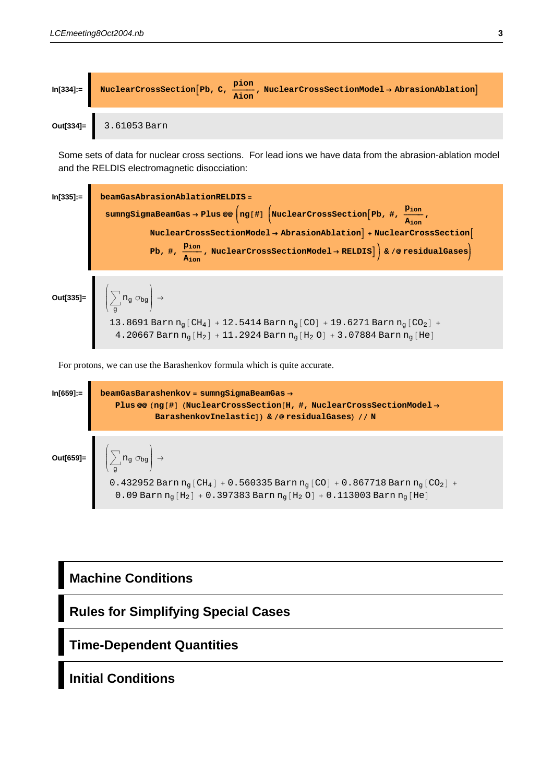

Some sets of data for nuclear cross sections. For lead ions we have data from the abrasion-ablation model and the RELDIS electromagnetic disocciation:

**In[335]:= beamGasAbrasionAblationRELDIS = sumngSigmaBeamGas → Plus @@**  $\left(nq[\text{\#}] \left(\text{NuclearCrossSection}\left[\text{Pb, #}, \frac{\text{Pion}}{\text{Aion}}\right.\right)$ **k k**  $\texttt{NuclearCrossSectionModel}\rightarrow\texttt{AbrasionAblation}\,+\texttt{NuclearCrossSection}\Big[\,$  $\mathbf{Pb, \#}, \frac{\mathbf{p}_{\text{ion}}}{\mathbf{A}_{\text{ion}}}$ , NuclearCrossSectionModel  $\rightarrow$  RELDIS]) & /@ residualGases) **Out[335]=** i k  $\sum_{a}$  $\left. \mathrm{n}_\mathrm{g}\right. \mathrm{\sigma}_\mathrm{bg}\right|_{\mathrm{g}}$  $\overline{a}$  $\Big| \rightarrow$ 13.8691 Barn  $n_{\rm g}$  [CH $_4$ ] + 12.5414 Barn  $n_{\rm g}$  [CO] + 19.6271 Barn  $n_{\rm g}$  [CO<sub>2</sub>] +

4.20667 Barn  $n_{g}\left[H_{2}\right]$  +  $11.2924$  Barn  $n_{g}\left[H_{2}\,0\right]$  +  $3.07884$  Barn  $n_{g}\left[$  He $\right]$ 

For protons, we can use the Barashenkov formula which is quite accurate.



### **Machine Conditions**

**Rules for Simplifying Special Cases**

**Time-Dependent Quantities**

**Initial Conditions**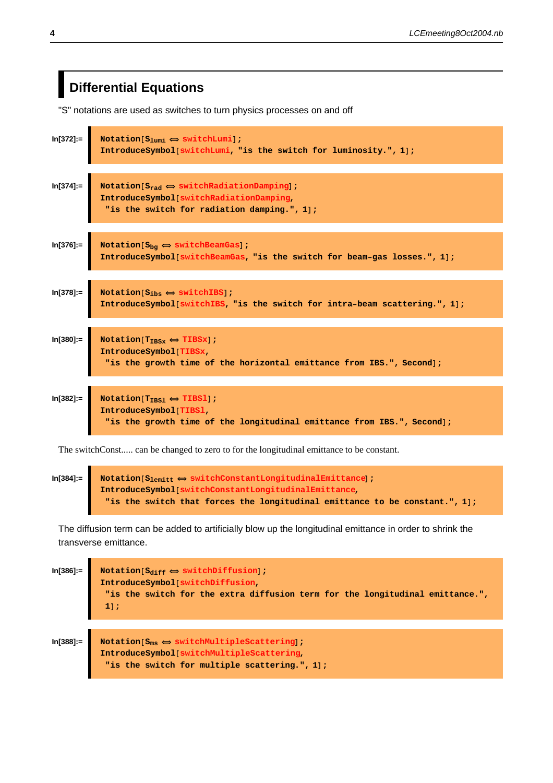## **Differential Equations**

"S" notations are used as switches to turn physics processes on and off

| ln[372]:=     | Notation $[S_{1um1} \Leftrightarrow switchLumi]$ ;<br>IntroduceSymbol[switchLumi, "is the switch for luminosity.", 1];                                                                                                                 |
|---------------|----------------------------------------------------------------------------------------------------------------------------------------------------------------------------------------------------------------------------------------|
| $ln[374] =$   | $\begin{array}{ l } \hline \texttt{Notation}[S_{\texttt{rad}} \Leftrightarrow \texttt{switchRadiationDamping}]\texttt{;} \hline \end{array}$<br>IntroduceSymbol[switchRadiationDamping,<br>"is the switch for radiation damping.", 1]; |
| $ln[376] =$   | Notation[ $S_{bg} \Leftrightarrow$ switchBeamGas];<br>IntroduceSymbol[switchBeamGas, "is the switch for beam-gas losses.", 1];                                                                                                         |
| $In [378] :=$ | Notation[ $S_{ibs} \Leftrightarrow$ switchIBS];<br>IntroduceSymbol[switchIBS, "is the switch for intra-beam scattering.", 1];                                                                                                          |
| ln[380]:=     | Notation $[T_{\text{IBSx}} \Leftrightarrow T \text{IBSx}$ ;<br>IntroduceSymbol[TIBSx,<br>"is the growth time of the horizontal emittance from IBS.", Second];                                                                          |
| ln[382]:=     | Notation $[T_{\text{IBS1}} \Leftrightarrow TIBS1]$ ;<br>IntroduceSymbol[TIBS1,<br>"is the growth time of the longitudinal emittance from IBS.", Second];                                                                               |

The switchConst..... can be changed to zero to for the longitudinal emittance to be constant.

 $\text{In [384]:} \quad \blacksquare \quad \text{Notation} \texttt{[S_{1emitt}} \Leftrightarrow \texttt{switchConstantLongitudinalEmittance]} \texttt{;}$ **IntroduceSymbol@switchConstantLongitudinalEmittance,** "is the switch that forces the longitudinal emittance to be constant.", 1];

The diffusion term can be added to artificially blow up the longitudinal emittance in order to shrink the transverse emittance.

| $ln[386] :=$ | Notation $[S_{\text{diff}} \Leftrightarrow \text{switchDiffusion}$ ;<br>IntroduceSymbol[switchDiffusion,<br>"is the switch for the extra diffusion term for the longitudinal emittance.",<br>$1$ ; |  |
|--------------|----------------------------------------------------------------------------------------------------------------------------------------------------------------------------------------------------|--|
| $ln[388] :=$ | Notation $[S_{ms} \Leftrightarrow switchMultipleScattering]$ ;<br>IntroduceSymbol switchMultipleScattering,<br>"is the switch for multiple scattering.", 1];                                       |  |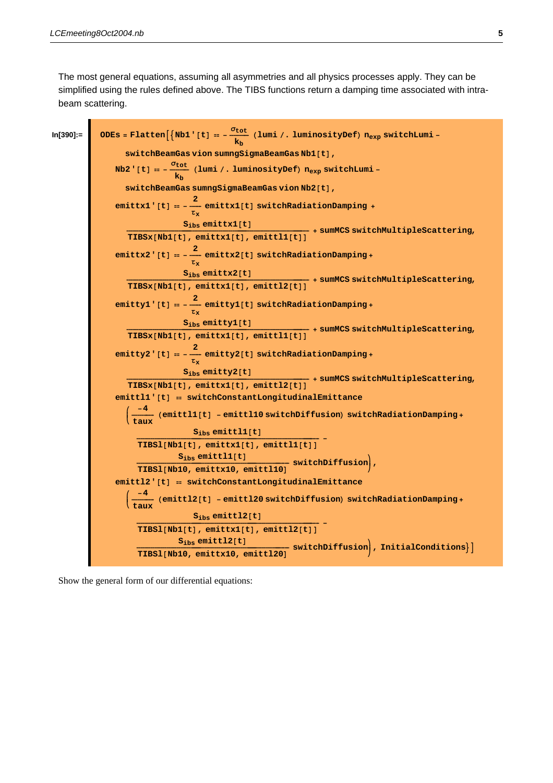The most general equations, assuming all asymmetries and all physics processes apply. They can be simplified using the rules defined above. The TIBS functions return a damping time associated with intrabeam scattering.



Show the general form of our differential equations: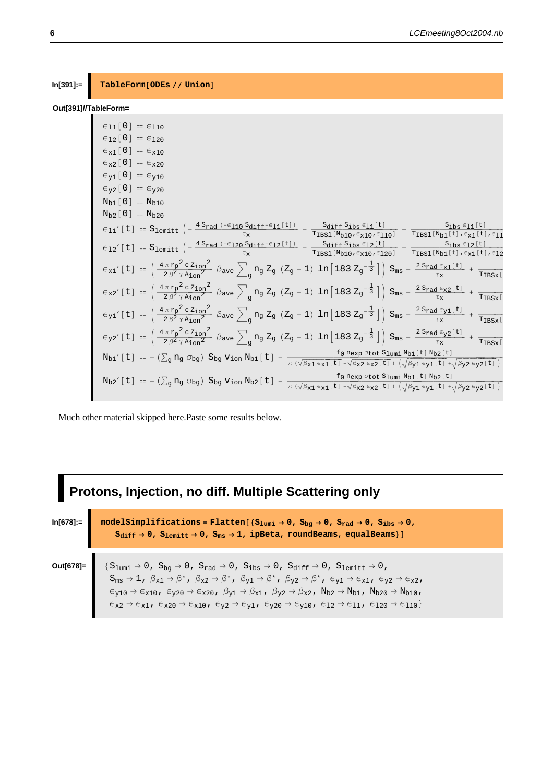#### $In [391] :=$ TableForm[ODEs // Union]

### Out[391]//TableForm=

| $\epsilon_{11}$ [0] == $\epsilon_{110}$                                                                                                                                                                                                                                                                                                                                                                                                        |
|------------------------------------------------------------------------------------------------------------------------------------------------------------------------------------------------------------------------------------------------------------------------------------------------------------------------------------------------------------------------------------------------------------------------------------------------|
| $\epsilon_{12}$ [0] == $\epsilon_{120}$                                                                                                                                                                                                                                                                                                                                                                                                        |
| $\epsilon_{x1}$ [0] = $\epsilon_{x10}$                                                                                                                                                                                                                                                                                                                                                                                                         |
| $\epsilon_{\text{x2}}$ [0] == $\epsilon_{\text{x20}}$                                                                                                                                                                                                                                                                                                                                                                                          |
| $\epsilon_{v1}$ [0] = $\epsilon_{v10}$                                                                                                                                                                                                                                                                                                                                                                                                         |
| $\epsilon_{v2}$ [0] = $\epsilon_{v20}$                                                                                                                                                                                                                                                                                                                                                                                                         |
| $N_{h1}$ [ 0 ] = $N_{h10}$                                                                                                                                                                                                                                                                                                                                                                                                                     |
| $N_{b2}$ [0] = $N_{b20}$                                                                                                                                                                                                                                                                                                                                                                                                                       |
| $\epsilon_{11}^\prime\left[\,t\,\right]\;=\;S_{1\text{emit}}\;\left(-\,\frac{4\,S_{\text{rad}}\;(-\epsilon_{110}\;S_{\text{diff}}+\epsilon_{11}\,[\,t\,])}{\tau_{\text{x}}}\;\;-\;\frac{S_{\text{diff}}\;S_{\text{ibs}}\,\epsilon_{11}\,[\,t\,]}{\text{T}_{\text{BS1}}\,[\text{N}_{\text{b10}}\,,\epsilon_{\text{x10}}\,,\epsilon_{110}]}\;+\;\frac{S_{\text{ibs}}\,\epsilon_{11}\,[\,t\,]}{\text{T}_{\text{BS1}}\,[\text{N}_{\text{b1}}\,[\,$ |
| $\epsilon_{12}^\prime\left[t\right]\;=\;{\cal S}_{1\text{emit}}\;\left(-\,\frac{\,4\,S_{\text{rad}}\,\left(-\epsilon_{120}\,S_{\text{diff}}+\epsilon_{12}\,[\,t\,]\right)}{\,\tau_{\text{x}}}\;-\;\frac{S_{\text{diff}}\,S_{\text{ibs}}\,\epsilon_{12}\,[\,t\,]}{\,\tau_{\text{BS1}}\,[\,N_{\text{b1}}\,\sigma_{\epsilon_{12}}\,\sigma_{12}\,]} \;+\;\frac{S_{\text{ibs}}\,\epsilon_{12}\,[\,t\,]}{\,\tau_{\text{BS1}}\,[\,N_{\text{b1}}\,[\,$ |
| $\epsilon_{x1}$ '[t] = $\left(\frac{4\pi r_{p}^{2} c z_{ion}^{2}}{2\beta^{2} \gamma A_{ion}^{2}} \beta_{ave} \sum_{\alpha} n_{g} Z_{g} (Z_{g} + 1) \ln[183 Z_{g}^{-\frac{1}{3}}]\right) S_{ms} - \frac{2 S_{rad} \epsilon_{x1}[t]}{z_{x}} + \frac{1}{T_{IBSx}[t]}$                                                                                                                                                                             |
| $\epsilon_{x2}$ ' [t] = $\left(\frac{4\pi r_{p}^{2} c z_{ion}^{2}}{2\beta^{2} \gamma A_{ion}^{2}} \beta_{ave} \right)_{\text{in}} n_{g} Z_{g} (Z_{g} + 1) \ln[183 Z_{g}^{-\frac{1}{3}}] \right) S_{ms} - \frac{2 S_{rad} \epsilon_{x2} [t]}{z_{x}} + \frac{1}{T_{\text{IBSx}}}$                                                                                                                                                                |
| $\epsilon_{y1}$ ' [t] = $\left(\frac{4\pi r_{p}^{2} c z_{ion}^{2}}{2\beta^{2} \gamma A_{ion}^{2}} \beta_{ave} \right)_{\text{in}} n_{g} Z_{g} (Z_{g} + 1) \ln[183 Z_{g}^{-\frac{1}{3}}] \right) S_{ms} - \frac{2 S_{rad} \epsilon_{y1} [t]}{\tau_{x}} + \frac{1}{T_{IBSx} [t]}$                                                                                                                                                                |
| $\epsilon_{y2}$ '[t] = $\left(\frac{4\pi r_{p}^{2} c z_{ion}^{2}}{2\beta^{2} \gamma A_{ion}^{2}} \beta_{ave} \right)_{\text{in}} n_{g} Z_{g} (Z_{g} + 1) \ln[183 Z_{g}^{-\frac{1}{3}}] \right) S_{ms} - \frac{2 S_{rad} \epsilon_{y2}[\text{t}]}{z_{x}} + \frac{1}{T_{\text{IBSx}}}$                                                                                                                                                           |
| $N_{b1}^{'}[t] = -(\sum_{g} n_g \sigma_{bg}) S_{bg} V_{ion} N_{b1}[t] - \frac{f_0 n_{exp} \sigma_{tot} S_{1umi} N_{b1}[t] N_{b2}[t]}{\pi (\sqrt{\beta_{x1} \epsilon_{x1}[t]} + \sqrt{\beta_{x2} \epsilon_{x2}[t]}) (\sqrt{\beta_{y1} \epsilon_{y1}[t]} + \sqrt{\beta_{y2} \epsilon_{y2}[t]})}$                                                                                                                                                 |
| $N_{b2}^\prime\left[t\right] = -\left(\textstyle\sum_g n_g\ \textstyle \sigma_{bg}\right)\ S_{bg}\ v_{ion}\ N_{b2}\left[t\right] \\ -\frac{f_0\ n_{exp}\ \sigma_{tot}\ S_{1umi}\ N_{b1}\left[t\right]\ N_{b2}\left[t\right]}{\pi\left(\sqrt{\beta_{x1}\ \varepsilon_{x1}[t]}\ +\ \sqrt{\beta_{x2}\ \varepsilon_{x2}[t]}\ \right)\ \left(\sqrt{\beta_{y1}\ \varepsilon_{y1}[t]}\ +\ \sqrt{\beta_{y2}\ \varepsilon_{y2}[t]}\ \right)}$           |

Much other material skipped here.Paste some results below.

### Protons, Injection, no diff. Multiple Scattering only  $ln[678] :=$  $\verb|modelSimplifications=Flatten[\{S_{1umi}\rightarrow 0\,,\;S_{bg}\rightarrow 0\,,\;S_{rad}\rightarrow 0\,,\;S_{ibs}\rightarrow 0\,,$  $S_{\text{diff}} \rightarrow 0 \text{, } S_{\text{lemitt}} \rightarrow 0 \text{, } S_{\text{ms}} \rightarrow 1 \text{, } \text{ipBeta, roundBeans, equalBeans} \} \, ]$ Out[678]=  $\{ \, S_{1 \text{umi}} \, \rightarrow 0 \, , \, \, S_{\text{bg}} \rightarrow 0 \, , \, \, S_{\text{rad}} \rightarrow 0 \, , \, \, S_{\text{ibs}} \rightarrow 0 \, , \, \, S_{\text{diff}} \rightarrow 0 \, , \, \, S_{\text{1emitt}} \rightarrow 0 \, ,$  $S_{\mathfrak{m}\mathbf{s}} \to 1 \; , \; \beta_{x1} \to \beta^* \; , \; \beta_{x2} \to \beta^* \; , \; \beta_{y1} \to \beta^* \; , \; \beta_{y2} \to \beta^* \; , \; \in_{y1} \to \in_{x1} \; , \; \in_{y2} \to \in_{x2} \; ,$  $\epsilon_{y10}\rightarrow \epsilon_{x10}\text{ , }\epsilon_{y20}\rightarrow \epsilon_{x20}\text{ , }\beta_{y1}\rightarrow \beta_{x1}\text{ , }\beta_{y2}\rightarrow \beta_{x2}\text{ , }N_{b2}\rightarrow N_{b1}\text{ , }N_{b20}\rightarrow N_{b10}\text{ , }$  $\epsilon_{\text{x}2} \rightarrow \epsilon_{\text{x}1} \text{, } \epsilon_{\text{x}20} \rightarrow \epsilon_{\text{x}10} \text{, } \epsilon_{\text{Y}2} \rightarrow \epsilon_{\text{Y}1} \text{, } \epsilon_{\text{Y}20} \rightarrow \epsilon_{\text{Y}10} \text{, } \epsilon_{12} \rightarrow \epsilon_{11} \text{, } \epsilon_{120} \rightarrow \epsilon_{110} \}$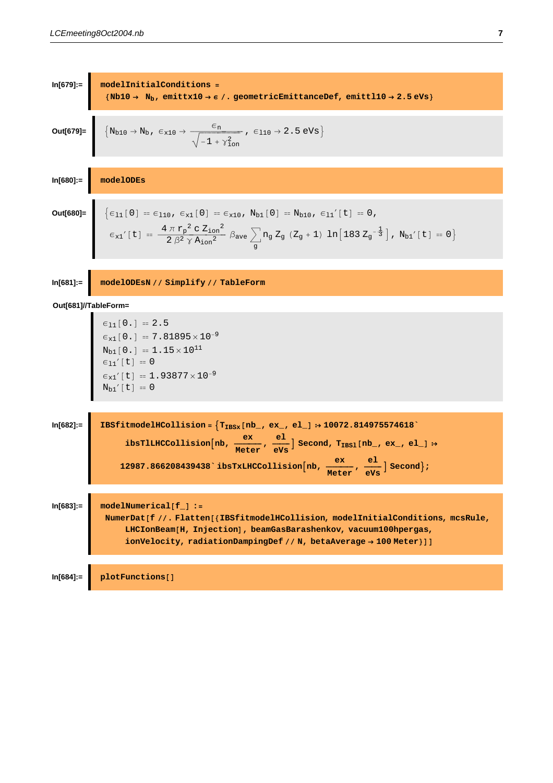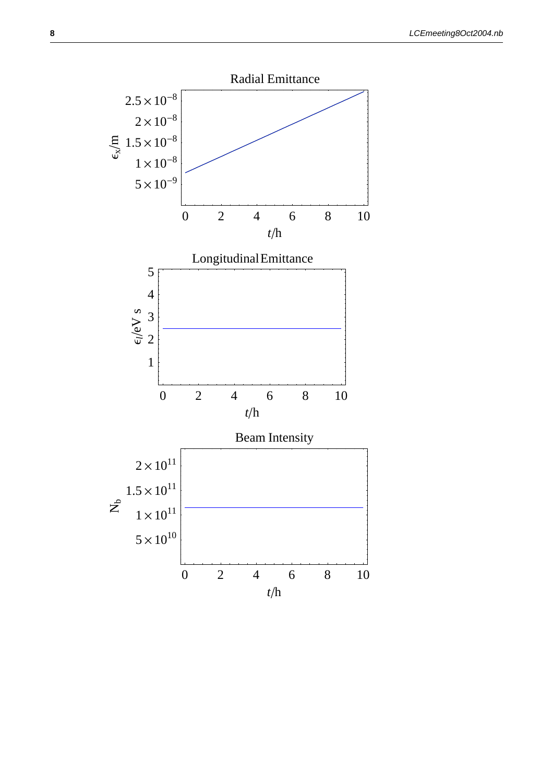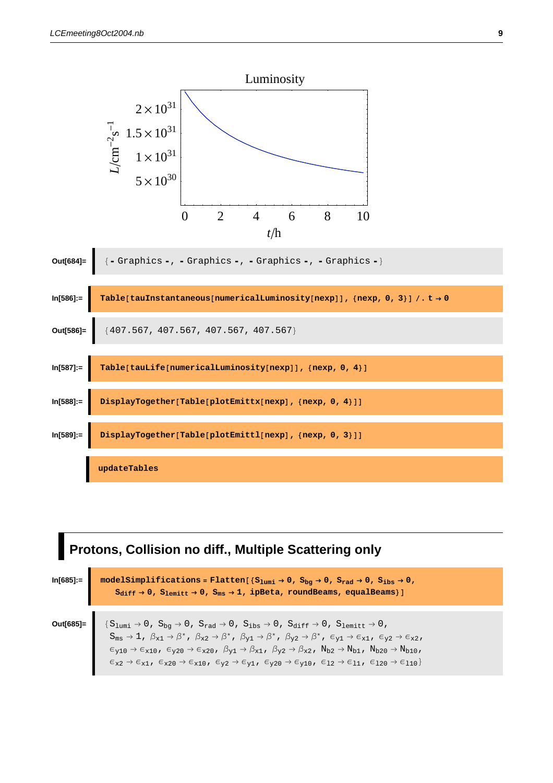

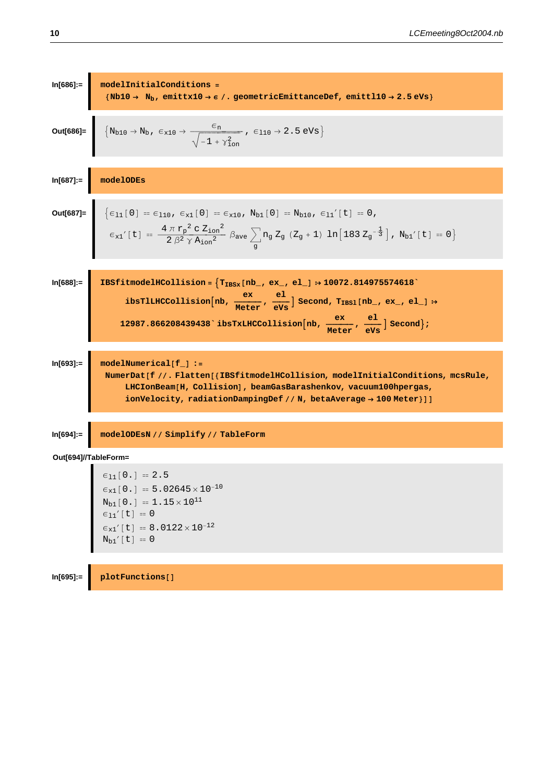In[686]:  
\n
$$
\text{Duff686} = \frac{\text{Nb10} \rightarrow N_b, \text{enittx10} \rightarrow \epsilon /. \text{geometricEmittancoDef, \text{enitt}110} \rightarrow 2.5 \text{ eVs}}{\sqrt{-1 + \gamma_{\text{cm}}^2}}, \epsilon_{110} \rightarrow 2.5 \text{ eVs}} \text{Out[686]} = \frac{\left\{ N_{b10} \rightarrow N_{b}, \epsilon_{x10} \rightarrow \frac{\epsilon_{n}}{\sqrt{-1 + \gamma_{\text{cm}}^2}}, \epsilon_{110} \rightarrow 2.5 \text{ eVs} \right\}}{\sqrt{-1 + \gamma_{\text{cm}}^2}}, \epsilon_{110} \rightarrow 2.5 \text{ eVs}} \text{Out[687]} = \frac{\text{modelODES}}{\epsilon_{x1}} \text{H}_{10} = \epsilon_{110}, \epsilon_{x1} [0] = \epsilon_{x10}, N_{b1} [0] = N_{b10}, \epsilon_{11}'[t] = 0, \epsilon_{12}'[t] = \frac{4 \pi \kappa_{p}^2 c 2_{\text{tan}}^2}{2 \beta^2 \gamma \lambda_{\text{tan}}^2} \beta_{\text{ave}} \sum_{g} n_g Z_g (Z_g + 1) \ln[183 Z_g^{-\frac{1}{3}}], N_{b1}'[t] = 0} \text{H}_{10}[\text{688}].
$$
\n
$$
\text{In[688]} = \frac{\text{InStitmedelHColilision} = \left\{ \text{Tr}_\text{BDK} [\text{mb}, \text{ex}, \text{el}] \rightarrow 10072.814975574618} \cdot \text{ibPHLHCColilision}[\text{mb}, \text{ex}, \text{el}] \rightarrow 10072.814975574618} \cdot \text{ibPHLHCColilision}[\text{mb}, \text{mech}_\text{tree}, \text{ev}_\text{exp}] \text{ is the same value of } \epsilon_{\text{max}} \text{H}_{10}[\text{OII}] \text{ is the same value of } \epsilon_{\text{max}} \text{H}_{10}[\text{OII}] \text{ is the same value of } \epsilon_{\text{max}} \text{H}_{10}[\text{OII}] \text{ is the same value of } \epsilon_{\text{max}} \text{H}_{10}[\text{OII}] \text{ is the same value of } \epsilon
$$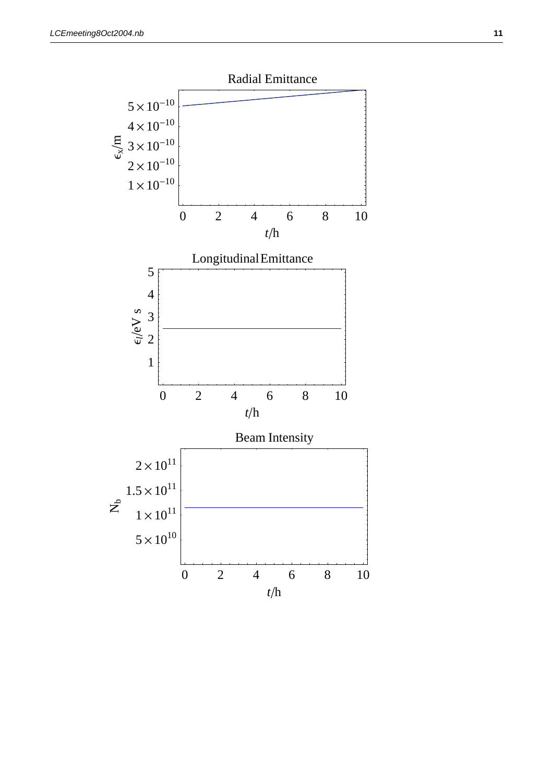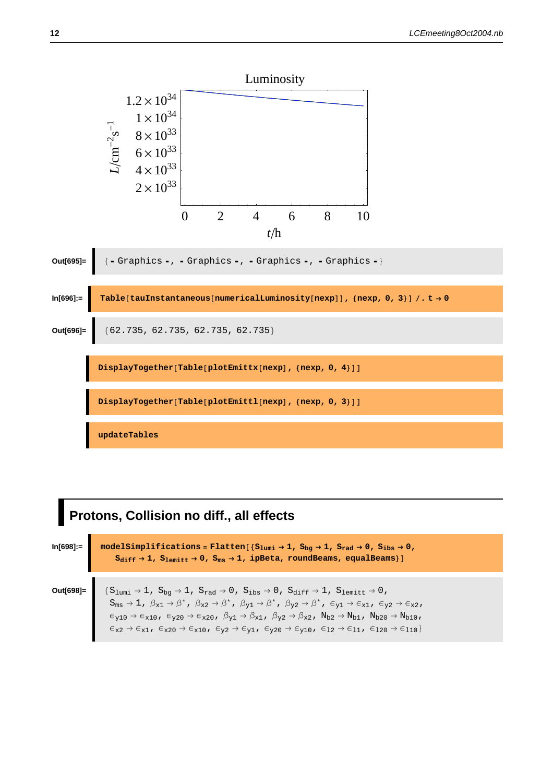

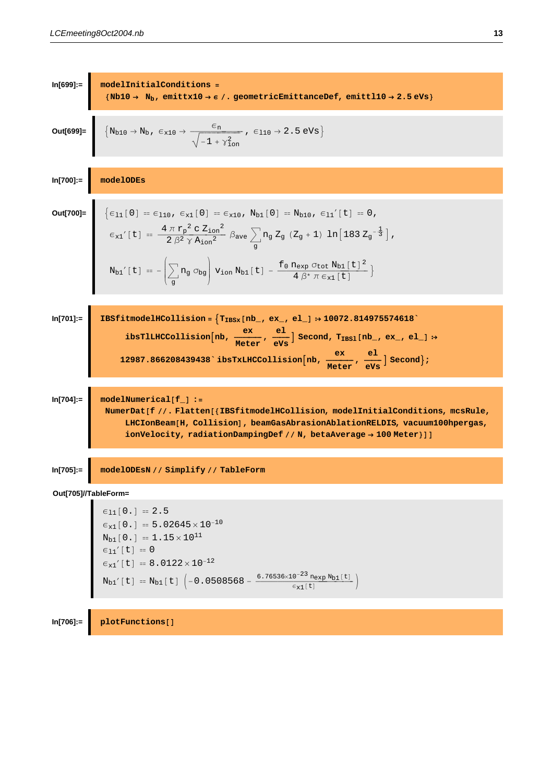

```
\epsilon_{11}[0.] = 2.5<br>
\epsilon_{x1}[0.] = 5.02645 \times 10^{-10}<br>
N_{b1}[0.] = 1.15 \times 10^{11}<br>
\epsilon_{11}'[t] = 0<br>
\epsilon_{x1}'[t] = 8.0122 \times 10^{-12}<br>
N_{b1}'[t] = N_{b1}[t] \left(-0.0508568 - \frac{6.76536 \times 10^{-23} n_{exp} N_{b1}[t]}{\epsilon_{x1}[t]}\right)
```
 $ln[706]$ := plotFunctions[]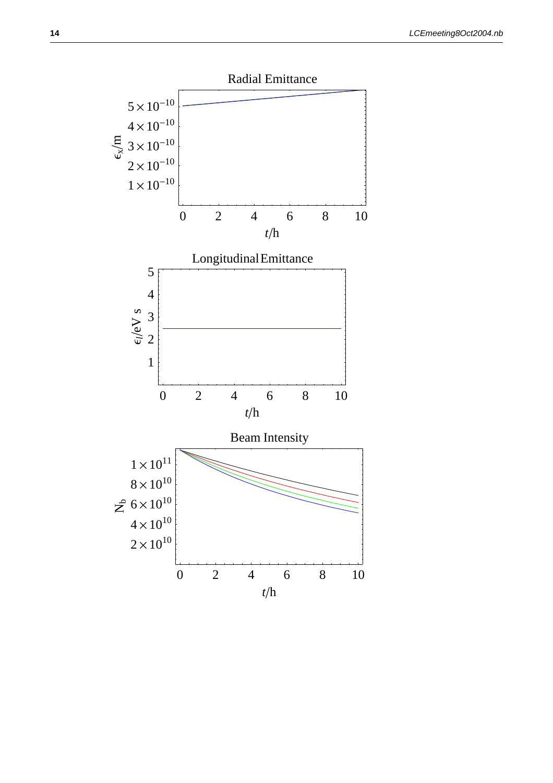